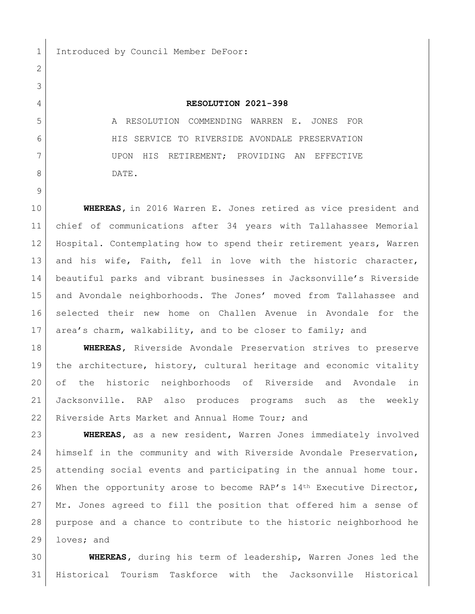1 Introduced by Council Member DeFoor:

## **RESOLUTION 2021-398**

 A RESOLUTION COMMENDING WARREN E. JONES FOR HIS SERVICE TO RIVERSIDE AVONDALE PRESERVATION 7 UPON HIS RETIREMENT; PROVIDING AN EFFECTIVE 8 DATE.

 **WHEREAS,** in 2016 Warren E. Jones retired as vice president and chief of communications after 34 years with Tallahassee Memorial Hospital. Contemplating how to spend their retirement years, Warren 13 and his wife, Faith, fell in love with the historic character, beautiful parks and vibrant businesses in Jacksonville's Riverside and Avondale neighborhoods. The Jones' moved from Tallahassee and selected their new home on Challen Avenue in Avondale for the area's charm, walkability, and to be closer to family; and

 **WHEREAS,** Riverside Avondale Preservation strives to preserve the architecture, history, cultural heritage and economic vitality of the historic neighborhoods of Riverside and Avondale in Jacksonville. RAP also produces programs such as the weekly 22 Riverside Arts Market and Annual Home Tour; and

 **WHEREAS,** as a new resident, Warren Jones immediately involved himself in the community and with Riverside Avondale Preservation, attending social events and participating in the annual home tour. 26 When the opportunity arose to become RAP's  $14<sup>th</sup>$  Executive Director, Mr. Jones agreed to fill the position that offered him a sense of purpose and a chance to contribute to the historic neighborhood he loves; and

 **WHEREAS,** during his term of leadership, Warren Jones led the Historical Tourism Taskforce with the Jacksonville Historical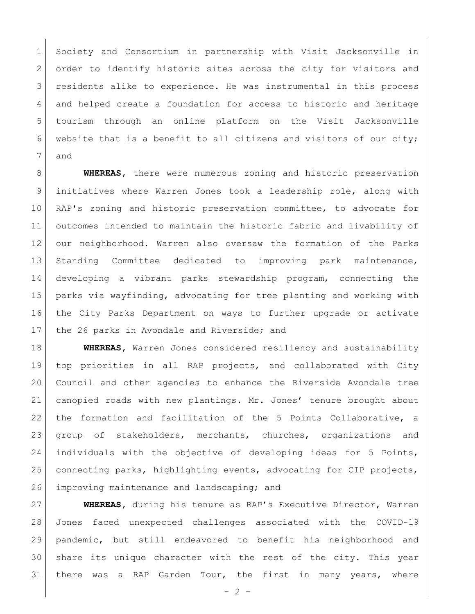Society and Consortium in partnership with Visit Jacksonville in 2 order to identify historic sites across the city for visitors and residents alike to experience. He was instrumental in this process 4 and helped create a foundation for access to historic and heritage tourism through an online platform on the Visit Jacksonville website that is a benefit to all citizens and visitors of our city; and

 **WHEREAS,** there were numerous zoning and historic preservation initiatives where Warren Jones took a leadership role, along with 10 RAP's zoning and historic preservation committee, to advocate for outcomes intended to maintain the historic fabric and livability of our neighborhood. Warren also oversaw the formation of the Parks Standing Committee dedicated to improving park maintenance, developing a vibrant parks stewardship program, connecting the parks via wayfinding, advocating for tree planting and working with the City Parks Department on ways to further upgrade or activate 17 the 26 parks in Avondale and Riverside; and

 **WHEREAS,** Warren Jones considered resiliency and sustainability top priorities in all RAP projects, and collaborated with City Council and other agencies to enhance the Riverside Avondale tree canopied roads with new plantings. Mr. Jones' tenure brought about 22 | the formation and facilitation of the 5 Points Collaborative, a group of stakeholders, merchants, churches, organizations and individuals with the objective of developing ideas for 5 Points, connecting parks, highlighting events, advocating for CIP projects, 26 improving maintenance and landscaping; and

 **WHEREAS,** during his tenure as RAP's Executive Director, Warren Jones faced unexpected challenges associated with the COVID-19 pandemic, but still endeavored to benefit his neighborhood and share its unique character with the rest of the city. This year there was a RAP Garden Tour, the first in many years, where

 $- 2 -$